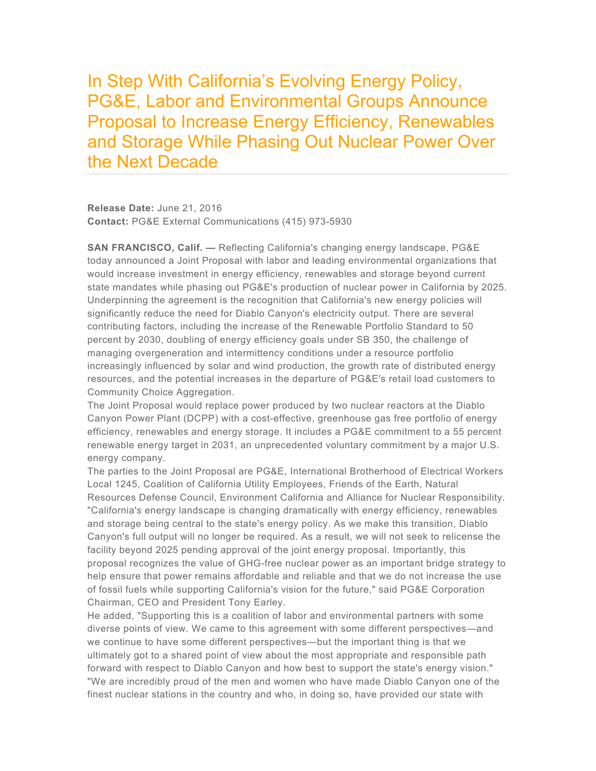In Step With California's Evolving Energy Policy, PG&E, Labor and Environmental Groups Announce Proposal to Increase Energy Efficiency, Renewables and Storage While Phasing Out Nuclear Power Over the Next Decade

**Release Date:** June 21, 2016 **Contact:** PG&E External Communications (415) 973-5930

**SAN FRANCISCO, Calif. —** Reflecting California's changing energy landscape, PG&E today announced a Joint Proposal with labor and leading environmental organizations that would increase investment in energy efficiency, renewables and storage beyond current state mandates while phasing out PG&E's production of nuclear power in California by 2025. Underpinning the agreement is the recognition that California's new energy policies will significantly reduce the need for Diablo Canyon's electricity output. There are several contributing factors, including the increase of the Renewable Portfolio Standard to 50 percent by 2030, doubling of energy efficiency goals under SB 350, the challenge of managing overgeneration and intermittency conditions under a resource portfolio increasingly influenced by solar and wind production, the growth rate of distributed energy resources, and the potential increases in the departure of PG&E's retail load customers to Community Choice Aggregation.

The Joint Proposal would replace power produced by two nuclear reactors at the Diablo Canyon Power Plant (DCPP) with a cost-effective, greenhouse gas free portfolio of energy efficiency, renewables and energy storage. It includes a PG&E commitment to a 55 percent renewable energy target in 2031, an unprecedented voluntary commitment by a major U.S. energy company.

The parties to the Joint Proposal are PG&E, International Brotherhood of Electrical Workers Local 1245, Coalition of California Utility Employees, Friends of the Earth, Natural Resources Defense Council, Environment California and Alliance for Nuclear Responsibility. "California's energy landscape is changing dramatically with energy efficiency, renewables and storage being central to the state's energy policy. As we make this transition, Diablo Canyon's full output will no longer be required. As a result, we will not seek to relicense the facility beyond 2025 pending approval of the joint energy proposal. Importantly, this proposal recognizes the value of GHG-free nuclear power as an important bridge strategy to help ensure that power remains affordable and reliable and that we do not increase the use of fossil fuels while supporting California's vision for the future," said PG&E Corporation Chairman, CEO and President Tony Earley.

He added, "Supporting this is a coalition of labor and environmental partners with some diverse points of view. We came to this agreement with some different perspectives—and we continue to have some different perspectives—but the important thing is that we ultimately got to a shared point of view about the most appropriate and responsible path forward with respect to Diablo Canyon and how best to support the state's energy vision." "We are incredibly proud of the men and women who have made Diablo Canyon one of the finest nuclear stations in the country and who, in doing so, have provided our state with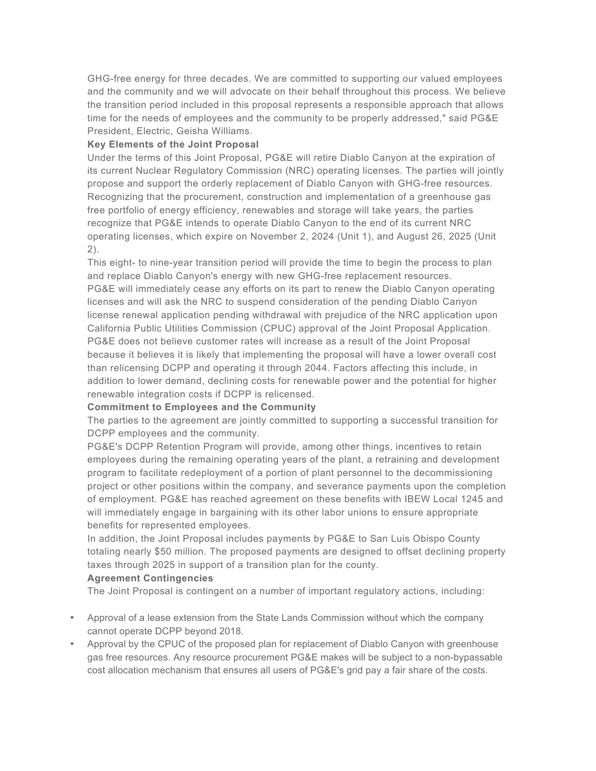GHG-free energy for three decades. We are committed to supporting our valued employees and the community and we will advocate on their behalf throughout this process. We believe the transition period included in this proposal represents a responsible approach that allows time for the needs of employees and the community to be properly addressed," said PG&E President, Electric, Geisha Williams.

# **Key Elements of the Joint Proposal**

Under the terms of this Joint Proposal, PG&E will retire Diablo Canyon at the expiration of its current Nuclear Regulatory Commission (NRC) operating licenses. The parties will jointly propose and support the orderly replacement of Diablo Canyon with GHG-free resources. Recognizing that the procurement, construction and implementation of a greenhouse gas free portfolio of energy efficiency, renewables and storage will take years, the parties recognize that PG&E intends to operate Diablo Canyon to the end of its current NRC operating licenses, which expire on November 2, 2024 (Unit 1), and August 26, 2025 (Unit 2).

This eight- to nine-year transition period will provide the time to begin the process to plan and replace Diablo Canyon's energy with new GHG-free replacement resources. PG&E will immediately cease any efforts on its part to renew the Diablo Canyon operating licenses and will ask the NRC to suspend consideration of the pending Diablo Canyon license renewal application pending withdrawal with prejudice of the NRC application upon California Public Utilities Commission (CPUC) approval of the Joint Proposal Application. PG&E does not believe customer rates will increase as a result of the Joint Proposal because it believes it is likely that implementing the proposal will have a lower overall cost than relicensing DCPP and operating it through 2044. Factors affecting this include, in addition to lower demand, declining costs for renewable power and the potential for higher renewable integration costs if DCPP is relicensed.

#### **Commitment to Employees and the Community**

The parties to the agreement are jointly committed to supporting a successful transition for DCPP employees and the community.

PG&E's DCPP Retention Program will provide, among other things, incentives to retain employees during the remaining operating years of the plant, a retraining and development program to facilitate redeployment of a portion of plant personnel to the decommissioning project or other positions within the company, and severance payments upon the completion of employment. PG&E has reached agreement on these benefits with IBEW Local 1245 and will immediately engage in bargaining with its other labor unions to ensure appropriate benefits for represented employees.

In addition, the Joint Proposal includes payments by PG&E to San Luis Obispo County totaling nearly \$50 million. The proposed payments are designed to offset declining property taxes through 2025 in support of a transition plan for the county.

### **Agreement Contingencies**

The Joint Proposal is contingent on a number of important regulatory actions, including:

- Approval of a lease extension from the State Lands Commission without which the company cannot operate DCPP beyond 2018.
- Approval by the CPUC of the proposed plan for replacement of Diablo Canyon with greenhouse gas free resources. Any resource procurement PG&E makes will be subject to a non-bypassable cost allocation mechanism that ensures all users of PG&E's grid pay a fair share of the costs.